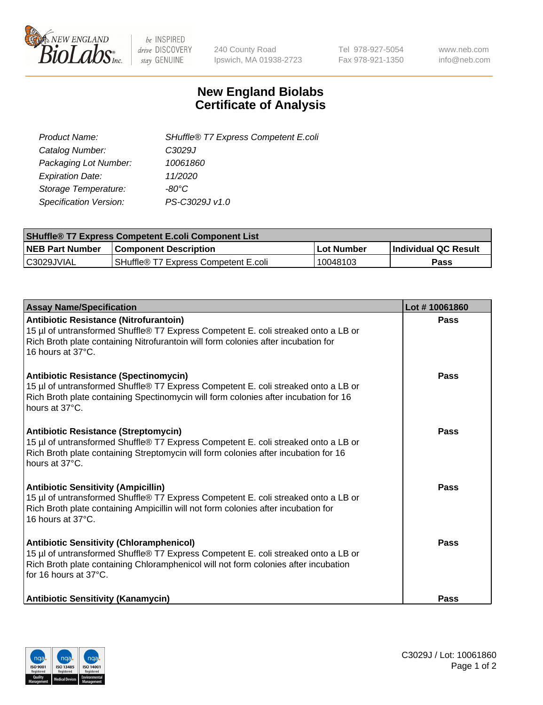

 $be$  INSPIRED drive DISCOVERY stay GENUINE

240 County Road Ipswich, MA 01938-2723 Tel 978-927-5054 Fax 978-921-1350 www.neb.com info@neb.com

## **New England Biolabs Certificate of Analysis**

| SHuffle® T7 Express Competent E.coli |
|--------------------------------------|
| C3029J                               |
| 10061860                             |
| 11/2020                              |
| -80°C                                |
| PS-C3029J v1.0                       |
|                                      |

| <b>SHuffle<sup>®</sup> T7 Express Competent E.coli Component List</b> |                                      |            |                             |  |
|-----------------------------------------------------------------------|--------------------------------------|------------|-----------------------------|--|
| <b>NEB Part Number</b>                                                | <b>Component Description</b>         | Lot Number | <b>Individual QC Result</b> |  |
| C3029JVIAL                                                            | SHuffle® T7 Express Competent E.coli | 10048103   | Pass                        |  |

| <b>Assay Name/Specification</b>                                                                                                                                                                                                                       | Lot #10061860 |
|-------------------------------------------------------------------------------------------------------------------------------------------------------------------------------------------------------------------------------------------------------|---------------|
| Antibiotic Resistance (Nitrofurantoin)<br>15 µl of untransformed Shuffle® T7 Express Competent E. coli streaked onto a LB or<br>Rich Broth plate containing Nitrofurantoin will form colonies after incubation for<br>16 hours at 37°C.               | Pass          |
| Antibiotic Resistance (Spectinomycin)<br>15 µl of untransformed Shuffle® T7 Express Competent E. coli streaked onto a LB or<br>Rich Broth plate containing Spectinomycin will form colonies after incubation for 16<br>hours at 37°C.                 | Pass          |
| Antibiotic Resistance (Streptomycin)<br>15 µl of untransformed Shuffle® T7 Express Competent E. coli streaked onto a LB or<br>Rich Broth plate containing Streptomycin will form colonies after incubation for 16<br>hours at 37°C.                   | <b>Pass</b>   |
| <b>Antibiotic Sensitivity (Ampicillin)</b><br>15 µl of untransformed Shuffle® T7 Express Competent E. coli streaked onto a LB or<br>Rich Broth plate containing Ampicillin will not form colonies after incubation for<br>16 hours at 37°C.           | Pass          |
| <b>Antibiotic Sensitivity (Chloramphenicol)</b><br>15 µl of untransformed Shuffle® T7 Express Competent E. coli streaked onto a LB or<br>Rich Broth plate containing Chloramphenicol will not form colonies after incubation<br>for 16 hours at 37°C. | <b>Pass</b>   |
| <b>Antibiotic Sensitivity (Kanamycin)</b>                                                                                                                                                                                                             | Pass          |